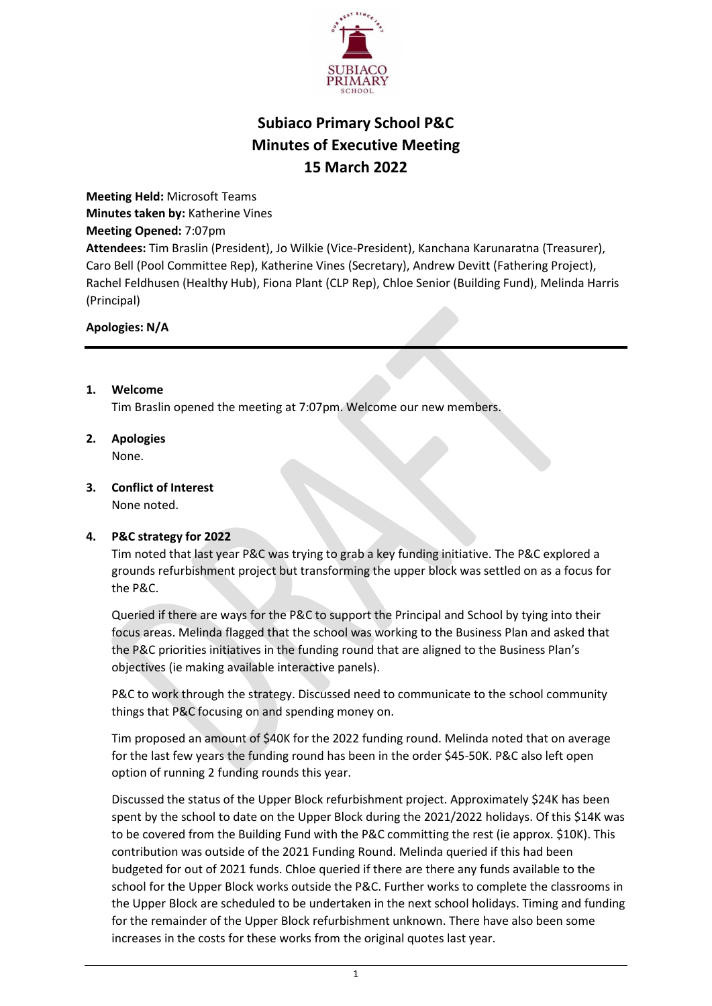

# Subiaco Primary School P&C Minutes of Executive Meeting 15 March 2022

Meeting Held: Microsoft Teams Minutes taken by: Katherine Vines Meeting Opened: 7:07pm Attendees: Tim Braslin (President), Jo Wilkie (Vice-President), Kanchana Karunaratna (Treasurer), Caro Bell (Pool Committee Rep), Katherine Vines (Secretary), Andrew Devitt (Fathering Project), Rachel Feldhusen (Healthy Hub), Fiona Plant (CLP Rep), Chloe Senior (Building Fund), Melinda Harris (Principal)

### Apologies: N/A

1. Welcome

Tim Braslin opened the meeting at 7:07pm. Welcome our new members.

- 2. Apologies None.
- 3. Conflict of Interest None noted.

### 4. P&C strategy for 2022

Tim noted that last year P&C was trying to grab a key funding initiative. The P&C explored a grounds refurbishment project but transforming the upper block was settled on as a focus for the P&C.

Queried if there are ways for the P&C to support the Principal and School by tying into their focus areas. Melinda flagged that the school was working to the Business Plan and asked that the P&C priorities initiatives in the funding round that are aligned to the Business Plan's objectives (ie making available interactive panels).

P&C to work through the strategy. Discussed need to communicate to the school community things that P&C focusing on and spending money on.

Tim proposed an amount of \$40K for the 2022 funding round. Melinda noted that on average for the last few years the funding round has been in the order \$45-50K. P&C also left open option of running 2 funding rounds this year.

Discussed the status of the Upper Block refurbishment project. Approximately \$24K has been spent by the school to date on the Upper Block during the 2021/2022 holidays. Of this \$14K was to be covered from the Building Fund with the P&C committing the rest (ie approx. \$10K). This contribution was outside of the 2021 Funding Round. Melinda queried if this had been budgeted for out of 2021 funds. Chloe queried if there are there any funds available to the school for the Upper Block works outside the P&C. Further works to complete the classrooms in the Upper Block are scheduled to be undertaken in the next school holidays. Timing and funding for the remainder of the Upper Block refurbishment unknown. There have also been some increases in the costs for these works from the original quotes last year.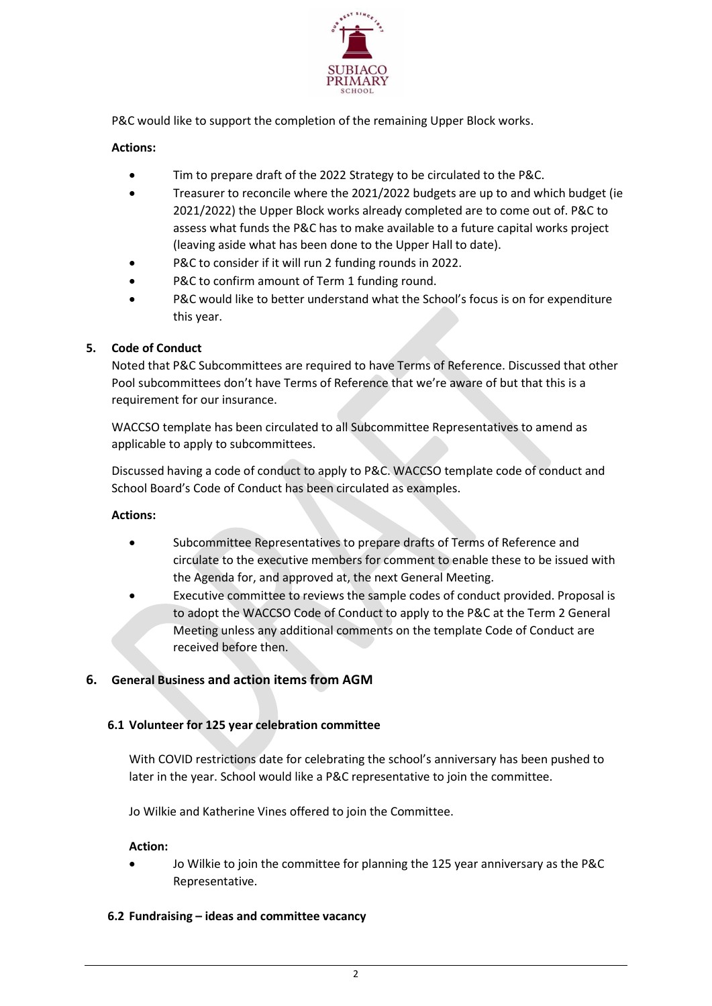

P&C would like to support the completion of the remaining Upper Block works.

## Actions:

- Tim to prepare draft of the 2022 Strategy to be circulated to the P&C.
- Treasurer to reconcile where the 2021/2022 budgets are up to and which budget (ie 2021/2022) the Upper Block works already completed are to come out of. P&C to assess what funds the P&C has to make available to a future capital works project (leaving aside what has been done to the Upper Hall to date).
- P&C to consider if it will run 2 funding rounds in 2022.
- P&C to confirm amount of Term 1 funding round.
- P&C would like to better understand what the School's focus is on for expenditure this year.

### 5. Code of Conduct

Noted that P&C Subcommittees are required to have Terms of Reference. Discussed that other Pool subcommittees don't have Terms of Reference that we're aware of but that this is a requirement for our insurance.

WACCSO template has been circulated to all Subcommittee Representatives to amend as applicable to apply to subcommittees.

Discussed having a code of conduct to apply to P&C. WACCSO template code of conduct and School Board's Code of Conduct has been circulated as examples.

### Actions:

- Subcommittee Representatives to prepare drafts of Terms of Reference and circulate to the executive members for comment to enable these to be issued with the Agenda for, and approved at, the next General Meeting.
- Executive committee to reviews the sample codes of conduct provided. Proposal is to adopt the WACCSO Code of Conduct to apply to the P&C at the Term 2 General Meeting unless any additional comments on the template Code of Conduct are received before then.

# 6. General Business and action items from AGM

### 6.1 Volunteer for 125 year celebration committee

With COVID restrictions date for celebrating the school's anniversary has been pushed to later in the year. School would like a P&C representative to join the committee.

Jo Wilkie and Katherine Vines offered to join the Committee.

#### Action:

- Jo Wilkie to join the committee for planning the 125 year anniversary as the P&C Representative.
- 6.2 Fundraising ideas and committee vacancy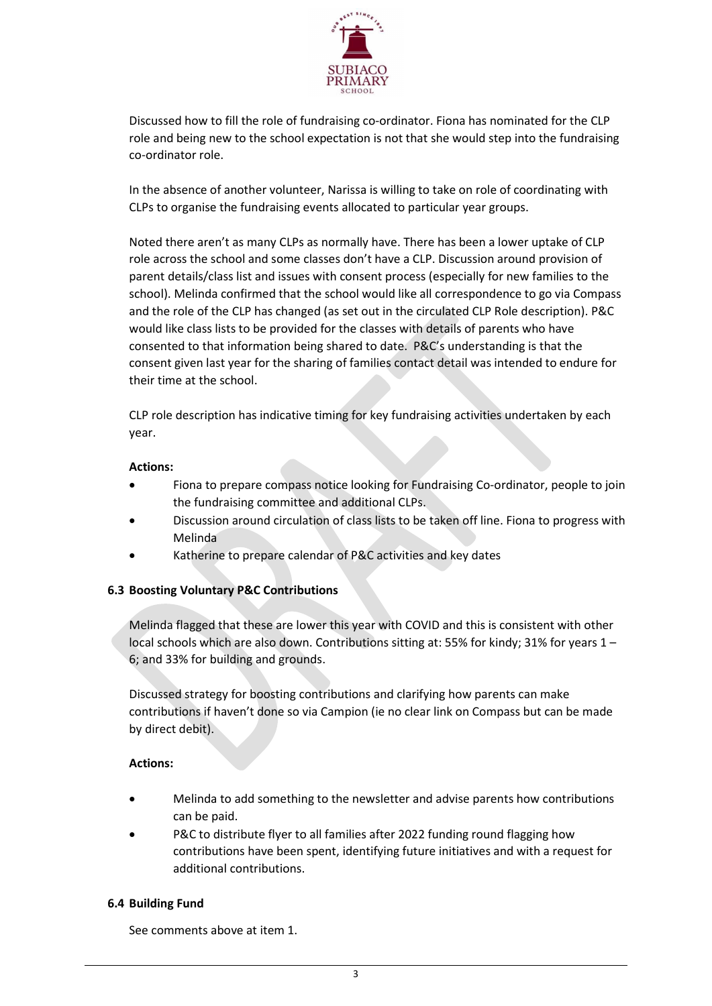

Discussed how to fill the role of fundraising co-ordinator. Fiona has nominated for the CLP role and being new to the school expectation is not that she would step into the fundraising co-ordinator role.

In the absence of another volunteer, Narissa is willing to take on role of coordinating with CLPs to organise the fundraising events allocated to particular year groups.

Noted there aren't as many CLPs as normally have. There has been a lower uptake of CLP role across the school and some classes don't have a CLP. Discussion around provision of parent details/class list and issues with consent process (especially for new families to the school). Melinda confirmed that the school would like all correspondence to go via Compass and the role of the CLP has changed (as set out in the circulated CLP Role description). P&C would like class lists to be provided for the classes with details of parents who have consented to that information being shared to date. P&C's understanding is that the consent given last year for the sharing of families contact detail was intended to endure for their time at the school.

CLP role description has indicative timing for key fundraising activities undertaken by each year.

#### Actions:

- Fiona to prepare compass notice looking for Fundraising Co-ordinator, people to join the fundraising committee and additional CLPs.
- Discussion around circulation of class lists to be taken off line. Fiona to progress with Melinda
- Katherine to prepare calendar of P&C activities and key dates

### 6.3 Boosting Voluntary P&C Contributions

Melinda flagged that these are lower this year with COVID and this is consistent with other local schools which are also down. Contributions sitting at: 55% for kindy; 31% for years 1 – 6; and 33% for building and grounds.

Discussed strategy for boosting contributions and clarifying how parents can make contributions if haven't done so via Campion (ie no clear link on Compass but can be made by direct debit).

### Actions:

- Melinda to add something to the newsletter and advise parents how contributions can be paid.
- P&C to distribute flyer to all families after 2022 funding round flagging how contributions have been spent, identifying future initiatives and with a request for additional contributions.

### 6.4 Building Fund

See comments above at item 1.